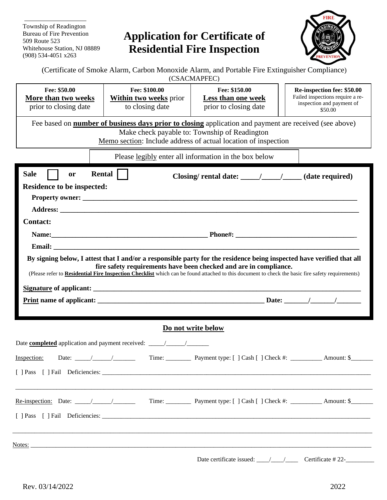Township of Readington Bureau of Fire Prevention Whitehouse Station, NJ 08889<br>(908) 534-4051 x263

# 509 Route 523 **Application for Certificate of** (908) 534-4051 x263 **Residential Fire Inspection**



(Certificate of Smoke Alarm, Carbon Monoxide Alarm, and Portable Fire Extinguisher Compliance) (CSACMAPFEC)

| Fee: \$50.00<br>More than two weeks<br>prior to closing date | Fee: \$100.00<br><b>Within two weeks prior</b><br>to closing date | Fee: \$150.00<br>Less than one week<br>prior to closing date                                                                                                                                                                     | Re-inspection fee: \$50.00<br>Failed inspections require a re-<br>inspection and payment of<br>\$50.00 |
|--------------------------------------------------------------|-------------------------------------------------------------------|----------------------------------------------------------------------------------------------------------------------------------------------------------------------------------------------------------------------------------|--------------------------------------------------------------------------------------------------------|
|                                                              |                                                                   | Fee based on <b>number of business days prior to closing</b> application and payment are received (see above)<br>Make check payable to: Township of Readington<br>Memo section: Include address of actual location of inspection |                                                                                                        |
|                                                              |                                                                   | Please legibly enter all information in the box below                                                                                                                                                                            |                                                                                                        |
| <b>Sale</b><br>or                                            | Rental                                                            |                                                                                                                                                                                                                                  |                                                                                                        |
| <b>Residence to be inspected:</b>                            |                                                                   |                                                                                                                                                                                                                                  |                                                                                                        |
|                                                              |                                                                   |                                                                                                                                                                                                                                  |                                                                                                        |
|                                                              |                                                                   |                                                                                                                                                                                                                                  |                                                                                                        |
| <b>Contact:</b>                                              |                                                                   |                                                                                                                                                                                                                                  |                                                                                                        |
|                                                              |                                                                   |                                                                                                                                                                                                                                  |                                                                                                        |
|                                                              |                                                                   |                                                                                                                                                                                                                                  |                                                                                                        |
|                                                              |                                                                   |                                                                                                                                                                                                                                  |                                                                                                        |
|                                                              |                                                                   | Do not write below                                                                                                                                                                                                               |                                                                                                        |
|                                                              |                                                                   |                                                                                                                                                                                                                                  |                                                                                                        |
| Inspection:                                                  |                                                                   |                                                                                                                                                                                                                                  |                                                                                                        |
|                                                              |                                                                   |                                                                                                                                                                                                                                  |                                                                                                        |
|                                                              |                                                                   |                                                                                                                                                                                                                                  |                                                                                                        |
|                                                              |                                                                   |                                                                                                                                                                                                                                  |                                                                                                        |
| Notes:                                                       |                                                                   |                                                                                                                                                                                                                                  |                                                                                                        |
|                                                              |                                                                   |                                                                                                                                                                                                                                  | Certificate #22-                                                                                       |